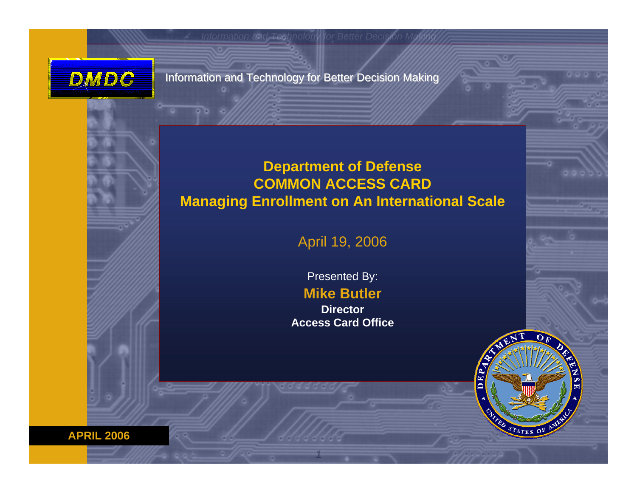

Information and Technology for Better Decision Making

#### **Department of Defense COMMON ACCESS CARD Managing Enrollment on An International Scale**

April 19, 2006

Presented By:

**Mike Butler**

**DirectorAccess Card Office**

*1*



**A PRIL 2006**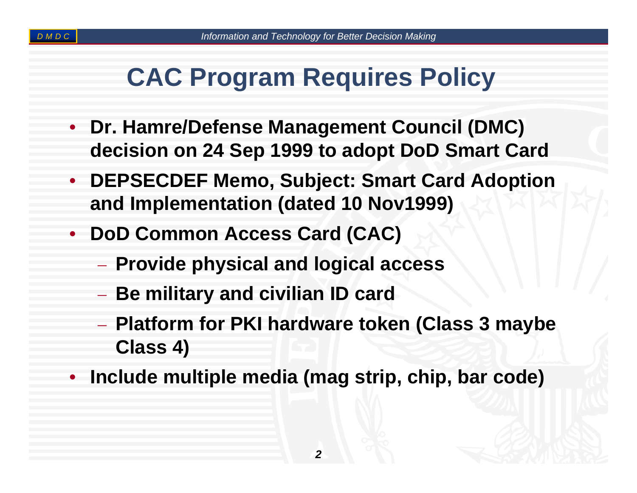## **CAC Program Requires Policy**

- $\bullet$  **Dr. Hamre/Defense Management Council (DMC) decision on 24 Sep 1999 to adopt DoD Smart Card**
- y **DEPSECDEF Memo, Subject: Smart Card Adoption and Implementation (dated 10 Nov1999)**
- $\bullet$  **DoD Common Access Card (CAC)**
	- **Provide physical and logical access**
	- **Be military and civilian ID card**
	- **Platform for PKI hardware token (Class 3 maybe Class 4)**
- $\bullet$ **Include multiple media (mag strip, chip, bar code)**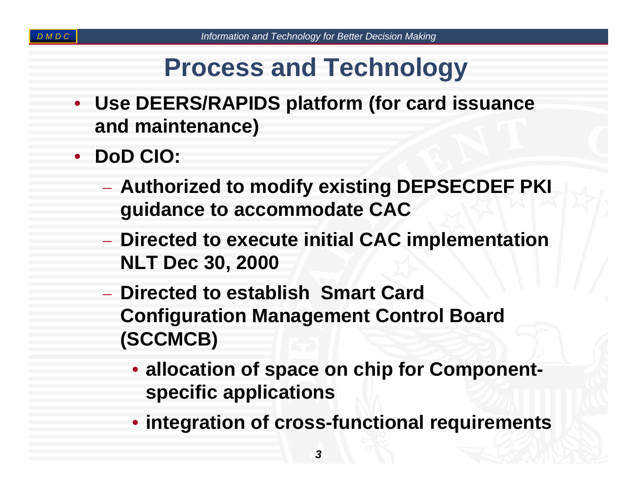## **Process and Technology**

- $\bullet$  **Use DEERS/RAPIDS platform (for card issuance and maintenance)**
- $\bullet$  **DoD CIO:**
	- **Authorized to modify existing DEPSECDEF PKI guidance to accommodate CAC**
	- **Directed to execute initial CAC implementation NLT Dec 30, 2000**
	- **Directed to establish Smart Card Configuration Management Control Board (SCCMCB)**
		- **allocation of space on chip for Componentspecific applications**
		- **integration of cross-functional requirements**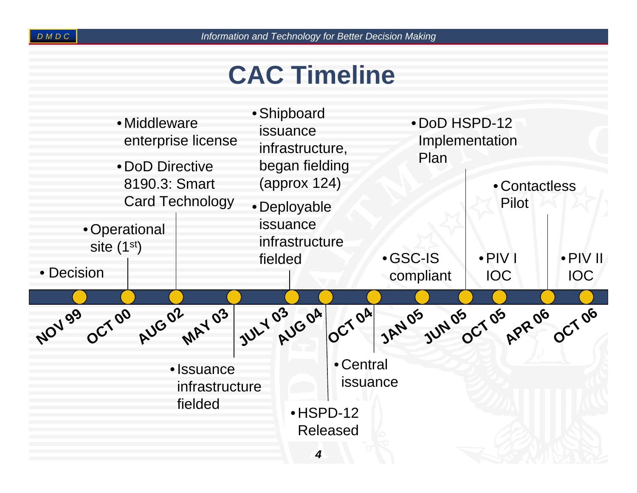# **CAC Timeline**

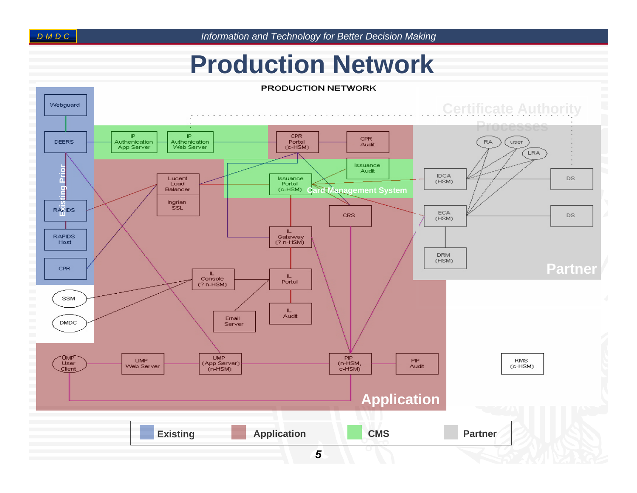*D DC M*

*Information and Technology for Better Decision Making*

### **Production Network**

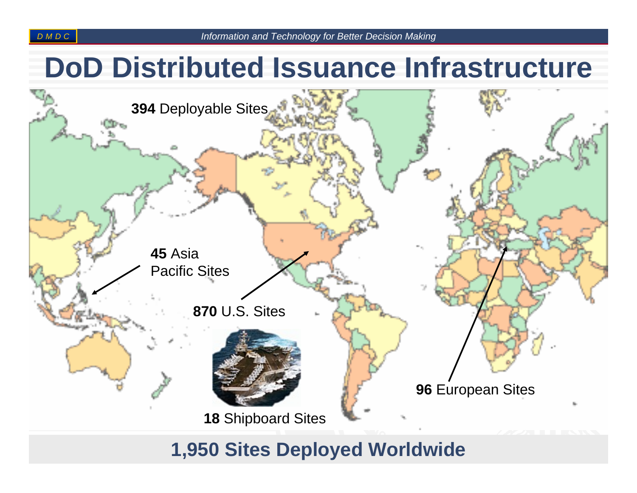## **DoD Distributed Issuance Infrastructure**



### *6***1,950 Sites Deployed Worldwide**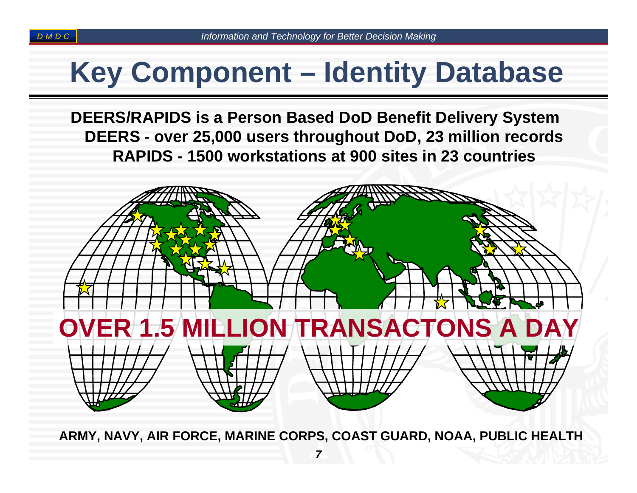# **Key Component – Identity Database**

**DEERS/RAPIDS is a Person Based DoD Benefit Delivery System DEERS - over 25,000 users throughout DoD, 23 million records RAPIDS - 1500 workstations at 900 sites in 23 countries**



**ARMY, NAVY, AIR FORCE, M ARINE CORPS, COAST GUARD, NOAA, PUBLIC HEALTH**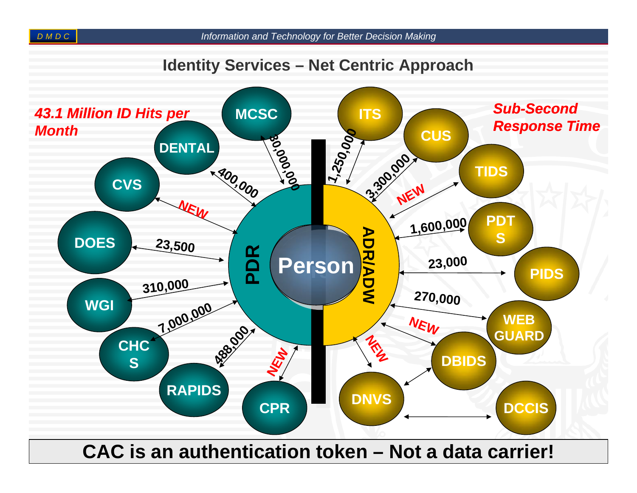#### **Identity Services – Net Centric Approach**



*8* **CAC is an authentication token – Not a data carrier!**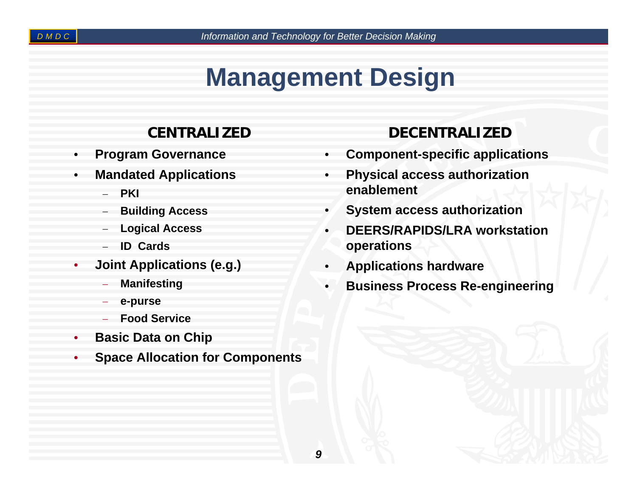# **Management Design**

### **CENTRALIZED**

- $\bullet$ **Program Governance**
- $\bullet$  **Mandated Applications**
	- −**PKI**
	- −**Building Access**
	- −**Logical Access**
	- −**ID Cards**
- 0 **Joint Applications (e.g.)**
	- **Manifesting**
	- **e-purse**
	- **Food Service**
- $\bullet$ **Basic Data on Chip**
- $\bullet$ **Space Allocation for Components**

### **DECENTRALIZED**

- $\bullet$ **Component-specific applications**
- $\bullet$  **Physical access authorization enablement**
- $\bullet$ **System access authorization**
- 0 **DEERS/RAPIDS/LRA workstation operations**
- 0 **Applications hardware**
- $\bullet$ **Business Process Re-engineering**